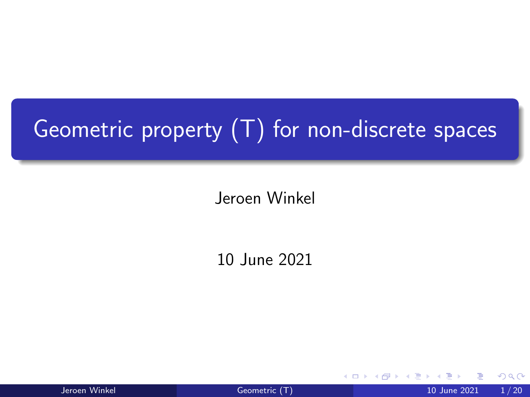# <span id="page-0-0"></span>Geometric property (T) for non-discrete spaces

Jeroen Winkel

10 June 2021

4 0 8

Jeroen Winkel **[Geometric \(T\)](#page-48-0)** 1/20 June 2021 1/20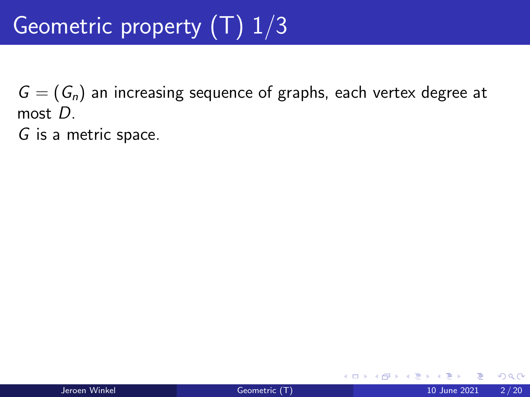$G = (G_n)$  an increasing sequence of graphs, each vertex degree at most D.

G is a metric space.

4 **D F**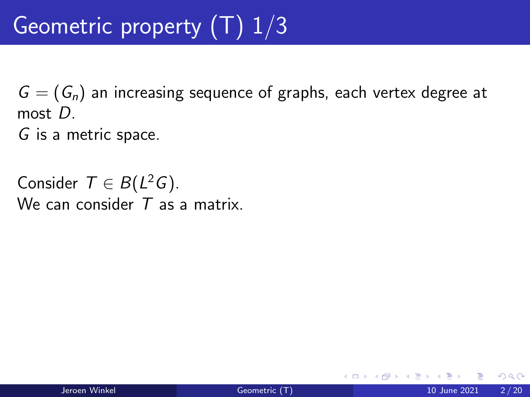$G = (G_n)$  an increasing sequence of graphs, each vertex degree at most D.

G is a metric space.

Consider  $T \in B(L^2G)$ . We can consider  $T$  as a matrix.

 $\Omega$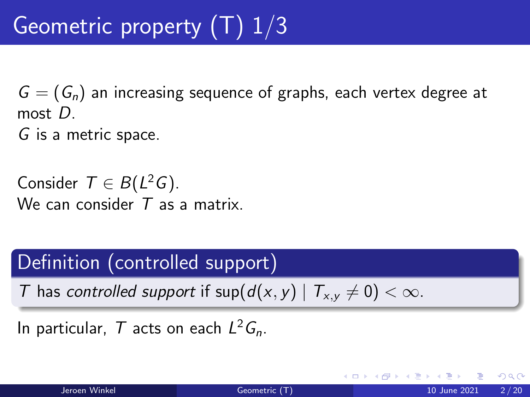$G = (G_n)$  an increasing sequence of graphs, each vertex degree at most D.

G is a metric space.

Consider  $T \in B(L^2G)$ . We can consider  $T$  as a matrix.

### Definition (controlled support)

T has controlled support if  $\sup(d(x, y) | T_{x,y} \neq 0) < \infty$ .

In particular,  $T$  acts on each  $L^2 G_n$ .

つひい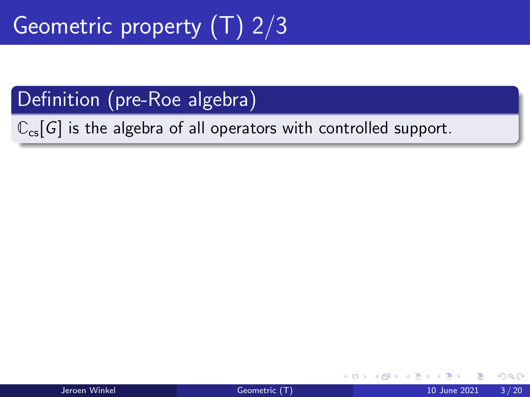$\mathbb{C}_{\text{cs}}[G]$  is the algebra of all operators with controlled support.

4 0 F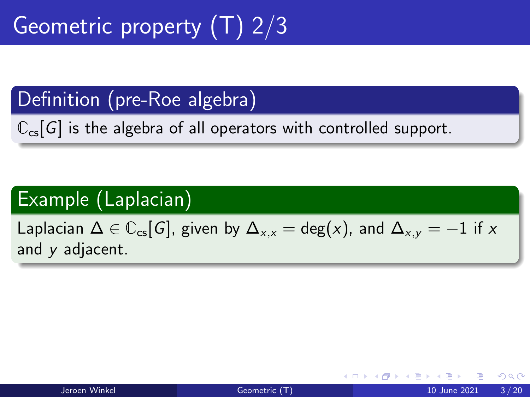$\mathbb{C}_{\text{cs}}[G]$  is the algebra of all operators with controlled support.

# Example (Laplacian)

Laplacian  $\Delta \in \mathbb{C}_{\text{cs}}[G]$ , given by  $\Delta_{x,x} = \text{deg}(x)$ , and  $\Delta_{x,y} = -1$  if x and y adjacent.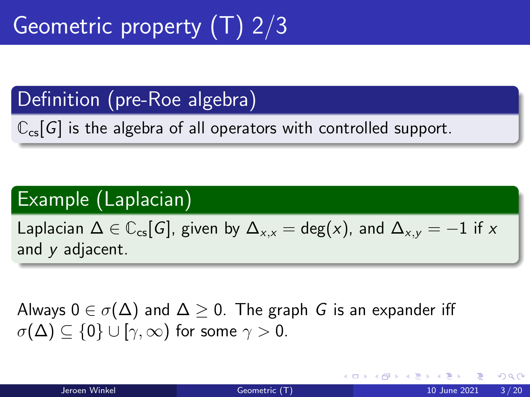$\mathbb{C}_{\text{cs}}[G]$  is the algebra of all operators with controlled support.

## Example (Laplacian)

Laplacian  $\Delta \in \mathbb{C}_{\text{cs}}[G]$ , given by  $\Delta_{x,x} = \text{deg}(x)$ , and  $\Delta_{x,y} = -1$  if x and y adjacent.

Always  $0 \in \sigma(\Delta)$  and  $\Delta > 0$ . The graph G is an expander iff  $\sigma(\Delta) \subset \{0\} \cup [\gamma, \infty)$  for some  $\gamma > 0$ .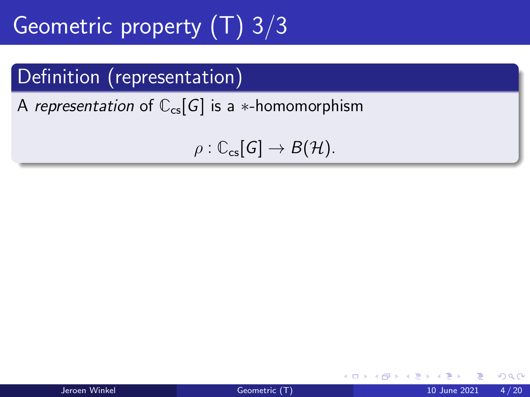# Geometric property  $(T)$  3/3

### Definition (representation)

A representation of  $\mathbb{C}_{\text{cs}}[G]$  is a  $*$ -homomorphism

 $\rho : \mathbb{C}_{\text{cs}}[G] \to B(H)$ .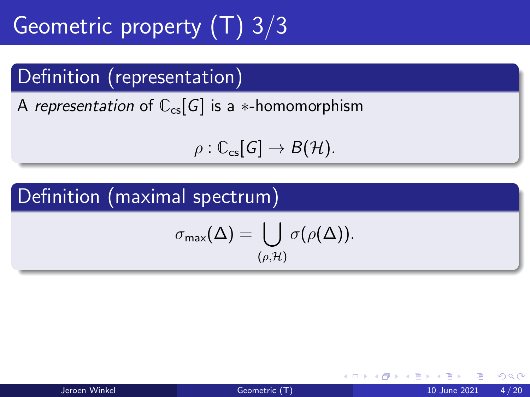# Geometric property  $(T)$  3/3

### Definition (representation)

A representation of  $\mathbb{C}_{\text{cs}}[G]$  is a  $*$ -homomorphism

$$
\rho: \mathbb{C}_{\scriptscriptstyle{\mathsf{CS}}}[G] \to B(\mathcal{H}).
$$

## Definition (maximal spectrum)

$$
\sigma_{\max}(\Delta)=\bigcup_{(\rho,\mathcal{H})}\sigma(\rho(\Delta)).
$$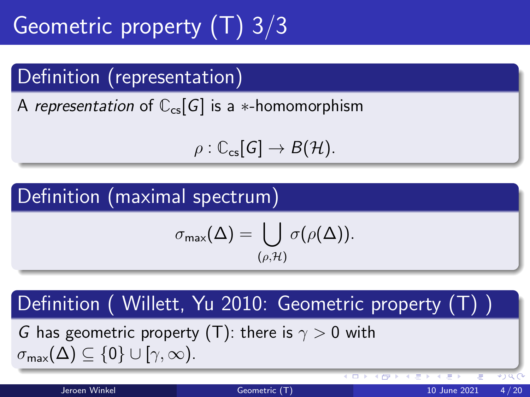# Geometric property (T) 3/3

## Definition (representation)

A representation of  $\mathbb{C}_{\text{cs}}[G]$  is a  $*$ -homomorphism

$$
\rho: \mathbb{C}_{\scriptscriptstyle{\mathsf{CS}}}[G] \to B(\mathcal{H}).
$$

## Definition (maximal spectrum)

$$
\sigma_{\mathsf{max}}(\Delta) = \bigcup_{(\rho,\mathcal{H})} \sigma(\rho(\Delta)).
$$

### Definition ( Willett, Yu 2010: Geometric property (T) )

G has geometric property (T): there is  $\gamma > 0$  with  $\sigma_{\text{max}}(\Delta) \subseteq \{0\} \cup [\gamma, \infty).$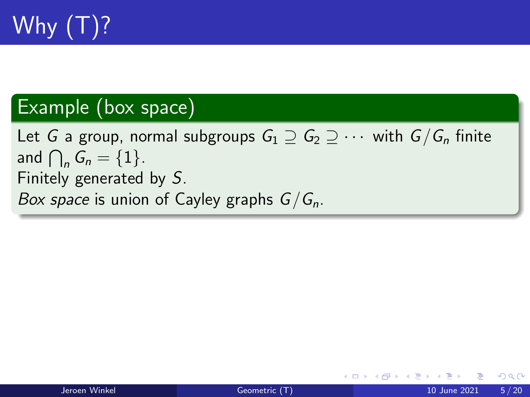

#### Example (box space)

Let G a group, normal subgroups  $G_1 \supseteq G_2 \supseteq \cdots$  with  $G/G_n$  finite and  $\bigcap_n G_n = \{1\}.$ Finitely generated by S. Box space is union of Cayley graphs  $G/G_n$ .

4 **D F** 

14 E K 4 E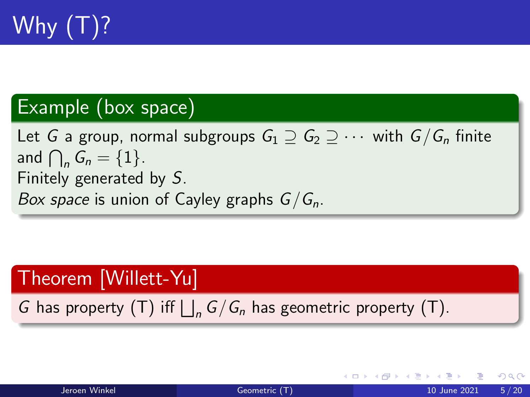

#### Example (box space)

Let G a group, normal subgroups  $G_1 \supset G_2 \supset \cdots$  with  $G/G_n$  finite and  $\bigcap_n G_n = \{1\}.$ Finitely generated by S. Box space is union of Cayley graphs  $G/G_n$ .

#### Theorem [Willett-Yu]

G has property (T) iff  $\bigsqcup_n G/G_n$  has geometric property (T).

| Jeroen Winkel |  |
|---------------|--|
|               |  |

어서 동에서 동에

 $QQQ$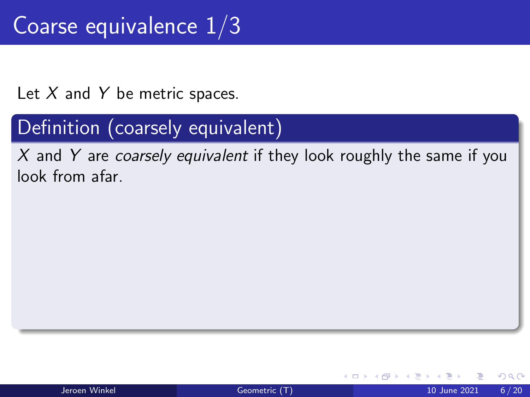# Coarse equivalence 1/3

Let  $X$  and  $Y$  be metric spaces.

## Definition (coarsely equivalent)

 $X$  and Y are coarsely equivalent if they look roughly the same if you look from afar.

 $\Omega$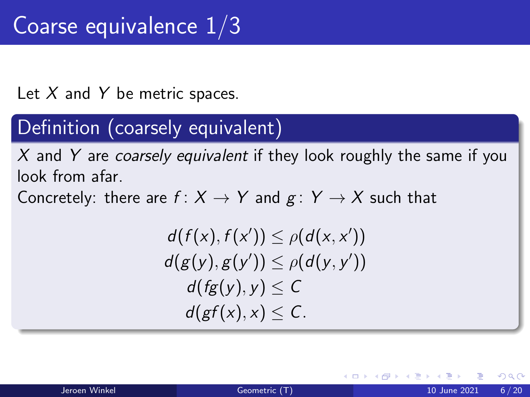Let  $X$  and  $Y$  be metric spaces.

## Definition (coarsely equivalent)

X and Y are coarsely equivalent if they look roughly the same if you look from afar.

Concretely: there are  $f: X \rightarrow Y$  and  $g: Y \rightarrow X$  such that

$$
d(f(x), f(x')) \leq \rho(d(x, x'))
$$
  
\n
$$
d(g(y), g(y')) \leq \rho(d(y, y'))
$$
  
\n
$$
d(fg(y), y) \leq C
$$
  
\n
$$
d(gf(x), x) \leq C.
$$

つひひ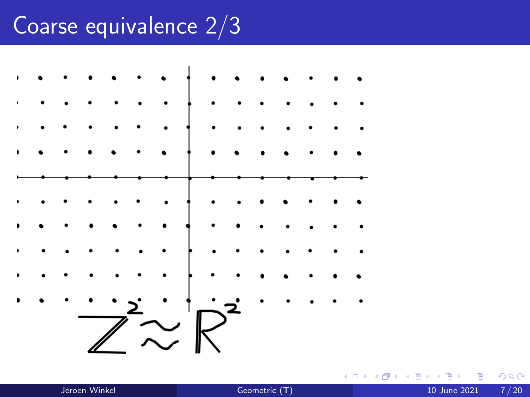# Coarse equivalence 2/3



4 D F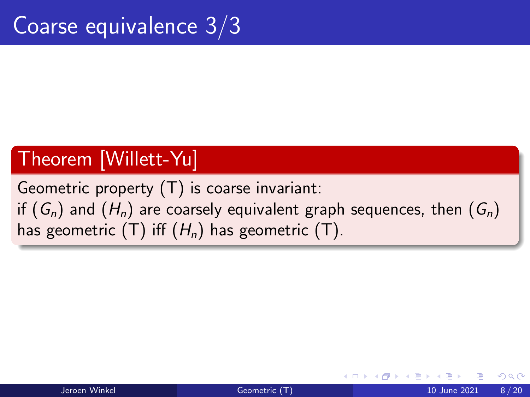### Theorem [Willett-Yu]

Geometric property  $(T)$  is coarse invariant: if  $(G_n)$  and  $(H_n)$  are coarsely equivalent graph sequences, then  $(G_n)$ has geometric (T) iff  $(H_n)$  has geometric (T).

つへへ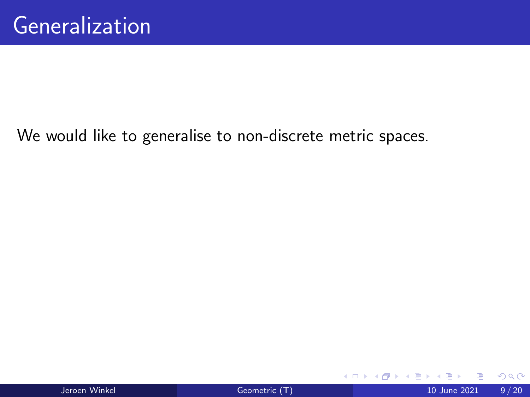We would like to generalise to non-discrete metric spaces.

イロト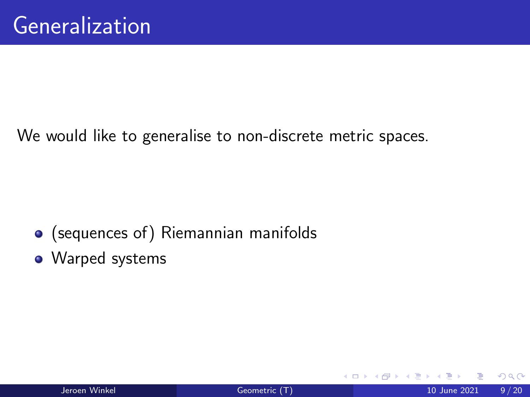We would like to generalise to non-discrete metric spaces.

- (sequences of) Riemannian manifolds
- Warped systems

4 0 8

 $\Omega$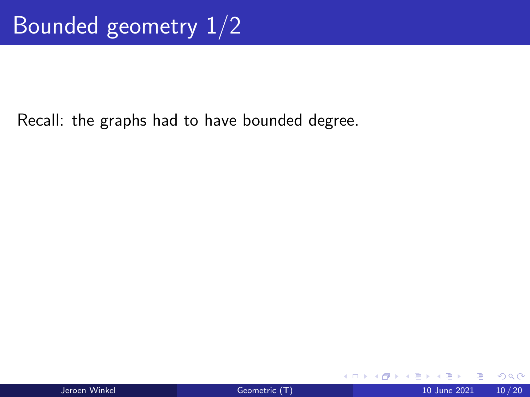Recall: the graphs had to have bounded degree.

4 **D F** 

 $QQ$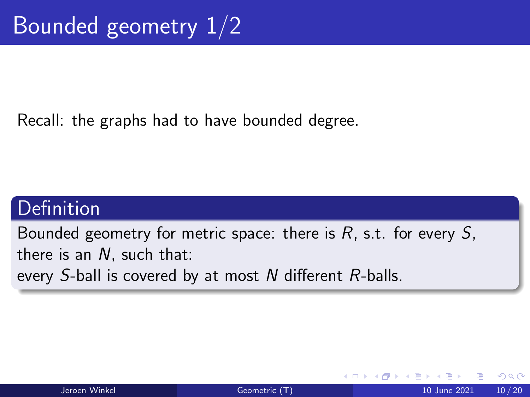Recall: the graphs had to have bounded degree.

## **Definition**

Bounded geometry for metric space: there is  $R$ , s.t. for every  $S$ . there is an N, such that: every S-ball is covered by at most N different R-balls.

つへへ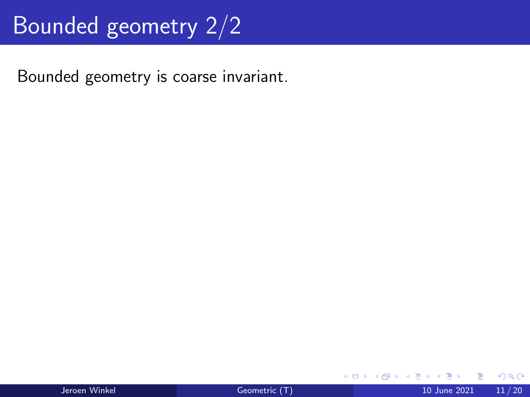# Bounded geometry 2/2

Bounded geometry is coarse invariant.

イロト

 $QQ$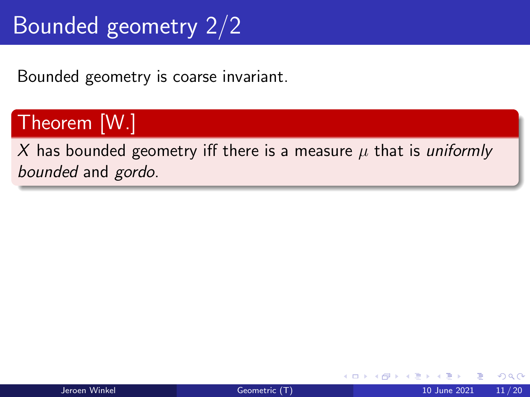# Bounded geometry 2/2

Bounded geometry is coarse invariant.

# Theorem [W.]

X has bounded geometry iff there is a measure  $\mu$  that is uniformly bounded and gordo.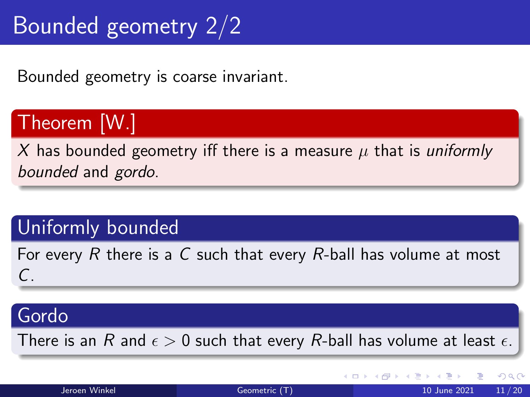# Bounded geometry 2/2

Bounded geometry is coarse invariant.

# Theorem [W.]

X has bounded geometry iff there is a measure  $\mu$  that is uniformly bounded and gordo.

#### Uniformly bounded

For every  $R$  there is a  $C$  such that every  $R$ -ball has volume at most  $\subset$ 

#### Gordo

There is an R and  $\epsilon > 0$  such that every R-ball has volume at least  $\epsilon$ .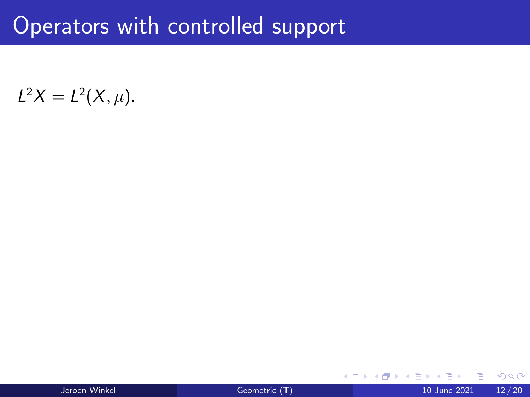# Operators with controlled support

 $L^2 X = L^2(X, \mu).$ 

| Jeroen Winkel |  |
|---------------|--|
|               |  |

4 **D F**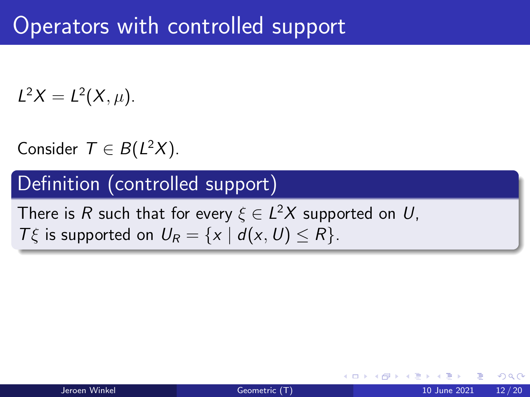# Operators with controlled support

 $L^2 X = L^2(X, \mu).$ 

Consider  $T \in B(L^2X)$ .

#### Definition (controlled support)

There is  $R$  such that for every  $\xi \in L^2X$  supported on  $U,$  $T\xi$  is supported on  $U_R = \{x \mid d(x, U) \le R\}.$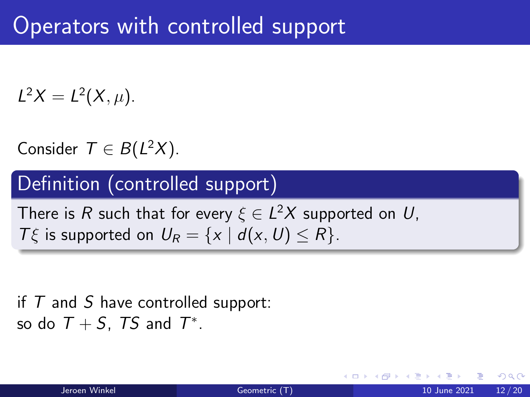# Operators with controlled support

 $L^2 X = L^2(X, \mu).$ 

Consider  $T \in B(L^2X)$ .

#### Definition (controlled support)

There is  $R$  such that for every  $\xi \in L^2X$  supported on  $U,$  $T\xi$  is supported on  $U_R = \{x \mid d(x, U) \le R\}.$ 

#### if  $T$  and  $S$  have controlled support: so do  $T + S$ , TS and  $T^*$ .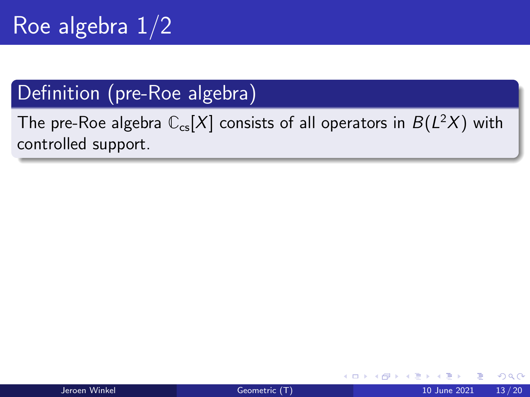# Roe algebra  $1/2$

### Definition (pre-Roe algebra)

The pre-Roe algebra  $\mathbb{C}_{\mathrm{cs}}[X]$  consists of all operators in  $B(L^2X)$  with controlled support.

4 D F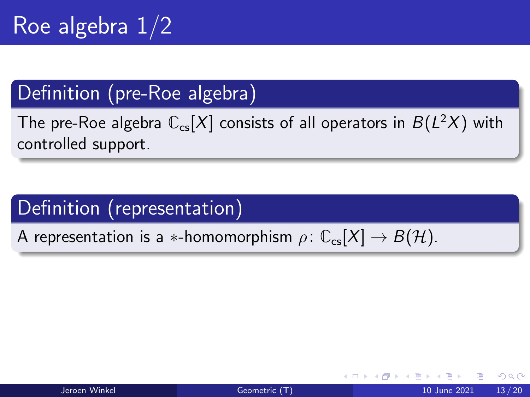The pre-Roe algebra  $\mathbb{C}_{\mathrm{cs}}[X]$  consists of all operators in  $B(L^2X)$  with controlled support.

# Definition (representation)

A representation is a  $*$ -homomorphism  $\rho: \mathbb{C}_{\text{cs}}[X] \to B(\mathcal{H})$ .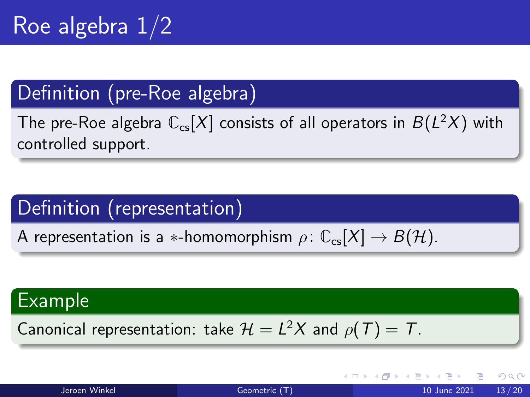The pre-Roe algebra  $\mathbb{C}_{\mathrm{cs}}[X]$  consists of all operators in  $B(L^2X)$  with controlled support.

# Definition (representation)

A representation is a  $*$ -homomorphism  $\rho: \mathbb{C}_{\text{cs}}[X] \to B(\mathcal{H})$ .

### Example

Canonical representation: take  $\mathcal{H} = L^2 X$  and  $\rho(T) = T$ .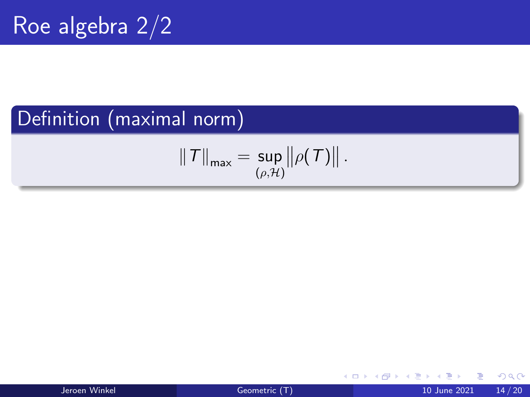## Definition (maximal norm)

$$
\|T\|_{\max}=\sup_{(\rho,\mathcal{H})}\big\|\rho(T)\big\|.
$$

- ← ロ ▶ → ← 何 ▶ → ← ヨ ▶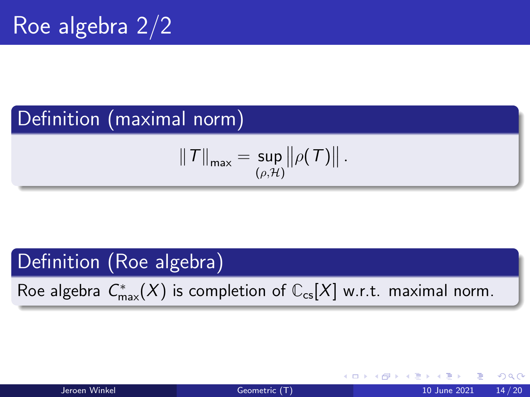## Definition (maximal norm)

$$
\|T\|_{\max}=\sup_{(\rho,\mathcal{H})}\big\|\rho(T)\big\|.
$$

#### Definition (Roe algebra)

Roe algebra  $C_{\max}^*(X)$  is completion of  $\mathbb{C}_{\text{cs}}[X]$  w.r.t. maximal norm.

4 D F

 $QQQ$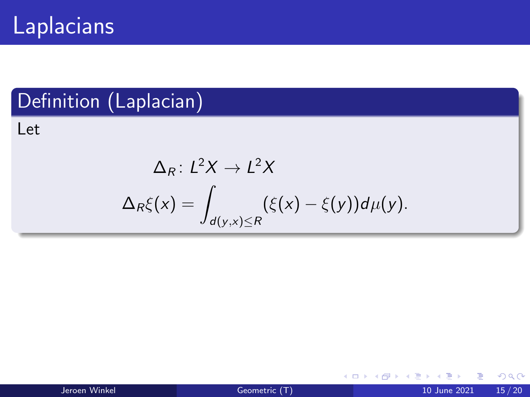# Laplacians

## Definition (Laplacian)

Let

$$
\Delta_R: L^2X \to L^2X
$$
  

$$
\Delta_R \xi(x) = \int_{d(y,x)\leq R} (\xi(x) - \xi(y))d\mu(y).
$$

(□ ) (母 ) (日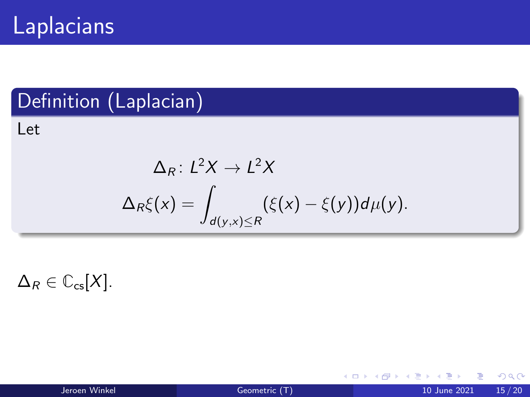# Laplacians

## Definition (Laplacian)

Let

$$
\Delta_R\colon L^2X\to L^2X
$$
  

$$
\Delta_R\xi(x) = \int_{d(y,x)\leq R} (\xi(x) - \xi(y))d\mu(y).
$$

 $\Delta_R \in \mathbb{C}_{\text{cs}}[X]$ .

**4 ロ ▶ 4 冊** 

 $\sim$ - 41 - 54 .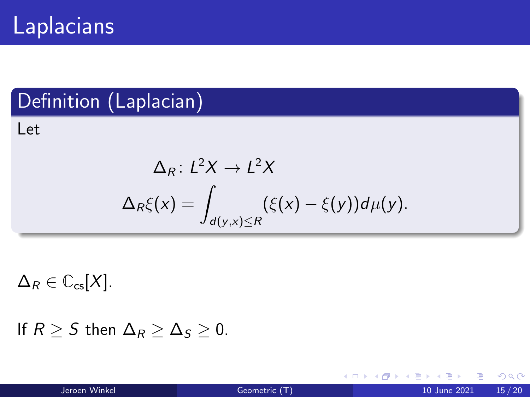# **Laplacians**

## Definition (Laplacian)

Let

$$
\Delta_R\colon L^2X\to L^2X
$$
  

$$
\Delta_R\xi(x) = \int_{d(y,x)\leq R} (\xi(x) - \xi(y))d\mu(y).
$$

 $\Delta_R \in \mathbb{C}_{\text{cs}}[X]$ .

```
If R > S then \Delta_R > \Delta_S > 0.
```
4 **D F** 

- 41 - 54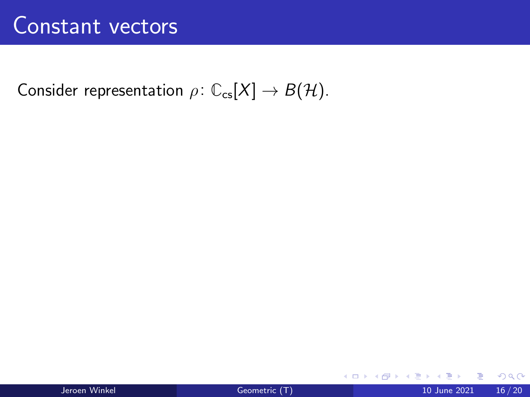Consider representation  $\rho \colon \mathbb{C}_{\text{cs}}[X] \to B(\mathcal{H})$ .

(□ ) (母 ) (日

 $QQ$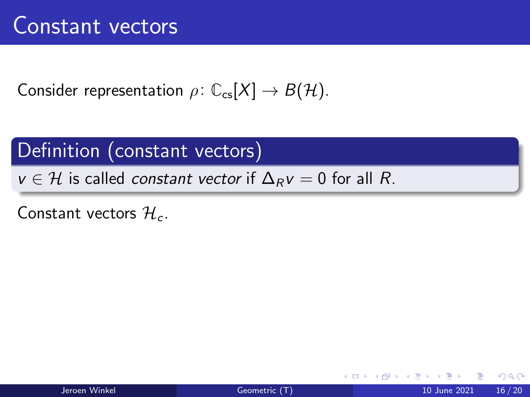Consider representation  $\rho: \mathbb{C}_{\text{cs}}[X] \to B(\mathcal{H})$ .

#### Definition (constant vectors)

 $v \in H$  is called *constant vector* if  $\Delta_R v = 0$  for all R.

Constant vectors  $\mathcal{H}_c$ .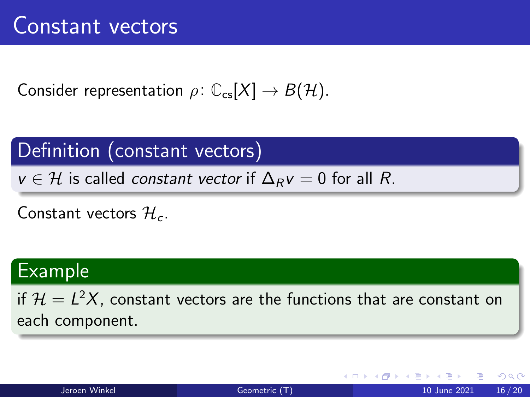Consider representation  $\rho: \mathbb{C}_{\text{cs}}[X] \to B(\mathcal{H})$ .

Definition (constant vectors)

 $v \in H$  is called constant vector if  $\Delta_R v = 0$  for all R.

Constant vectors  $\mathcal{H}_c$ .

#### Example

if  $\mathcal{H} = L^2 X$ , constant vectors are the functions that are constant on each component.

 $QQQ$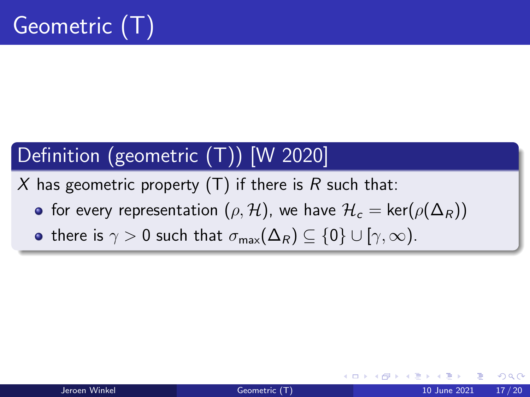# Definition (geometric (T)) [W 2020]

X has geometric property  $(T)$  if there is R such that:

- **•** for every representation  $(\rho, \mathcal{H})$ , we have  $\mathcal{H}_c = \text{ker}(\rho(\Delta_R))$
- there is  $\gamma > 0$  such that  $\sigma_{\text{max}}(\Delta_R) \subset \{0\} \cup [\gamma, \infty)$ .

つへへ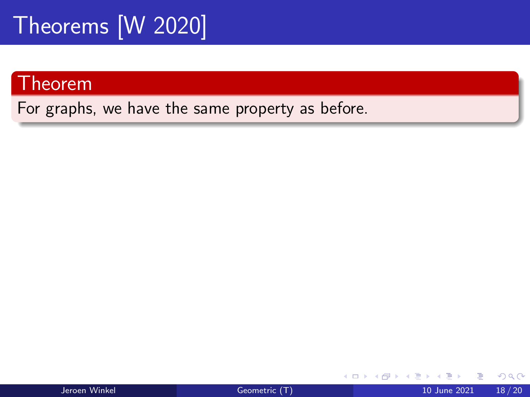#### Theorem

For graphs, we have the same property as before.

4 0 F

 $QQ$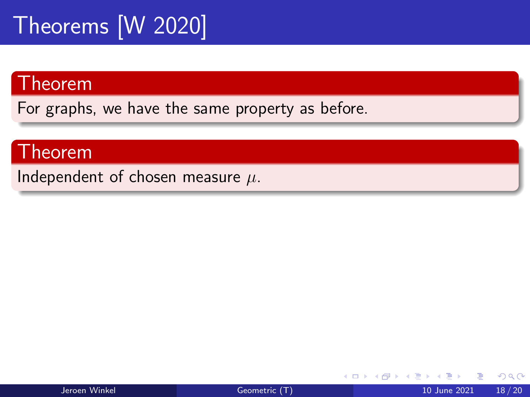#### Theorem

For graphs, we have the same property as before.

#### Theorem

Independent of chosen measure  $\mu$ .

4 D F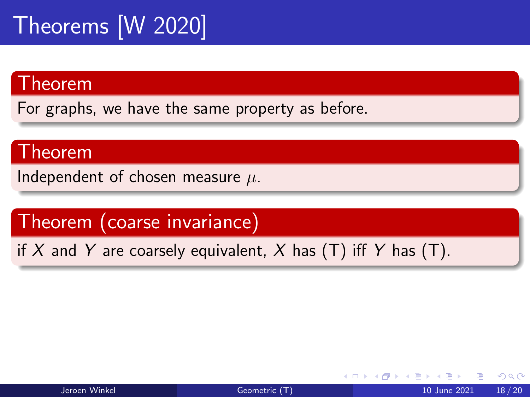#### Theorem

For graphs, we have the same property as before.

#### Theorem

Independent of chosen measure  $\mu$ .

Theorem (coarse invariance)

if X and Y are coarsely equivalent, X has  $(T)$  iff Y has  $(T)$ .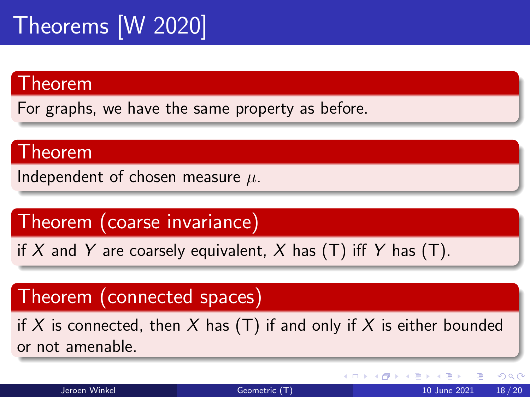#### Theorem

For graphs, we have the same property as before.

#### Theorem

Independent of chosen measure  $\mu$ .

Theorem (coarse invariance)

if X and Y are coarsely equivalent, X has  $(T)$  iff Y has  $(T)$ .

#### Theorem (connected spaces)

if X is connected, then X has  $(T)$  if and only if X is either bounded or not amenable.

4 0 F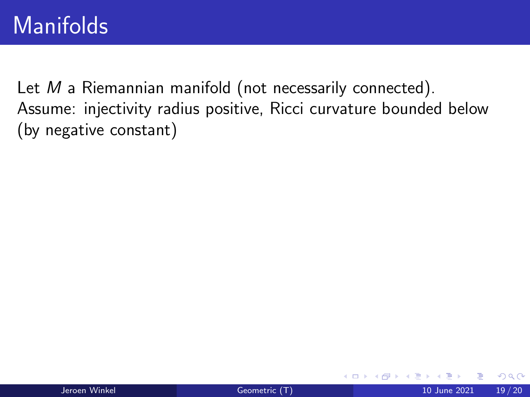# **Manifolds**

Let M a Riemannian manifold (not necessarily connected). Assume: injectivity radius positive, Ricci curvature bounded below (by negative constant)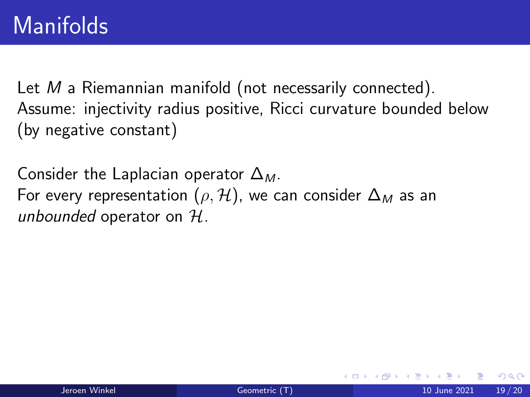Let M a Riemannian manifold (not necessarily connected). Assume: injectivity radius positive, Ricci curvature bounded below (by negative constant)

Consider the Laplacian operator  $\Delta_M$ . For every representation ( $\rho$ , H), we can consider  $\Delta_M$  as an unbounded operator on  $H$ .

つひひ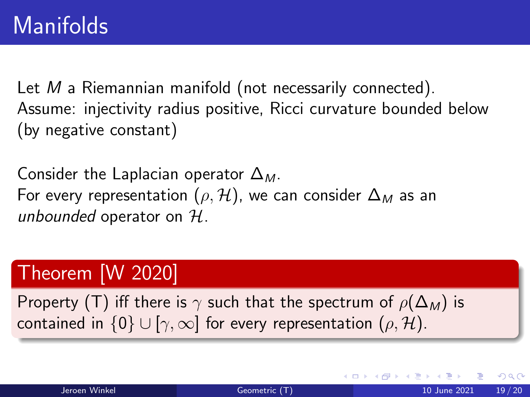Let M a Riemannian manifold (not necessarily connected). Assume: injectivity radius positive, Ricci curvature bounded below (by negative constant)

Consider the Laplacian operator  $\Delta_M$ . For every representation ( $\rho$ , H), we can consider  $\Delta_M$  as an unbounded operator on  $H$ .

## Theorem [W 2020]

Property (T) iff there is  $\gamma$  such that the spectrum of  $\rho(\Delta_M)$  is contained in  $\{0\} \cup [\gamma, \infty]$  for every representation  $(\rho, \mathcal{H})$ .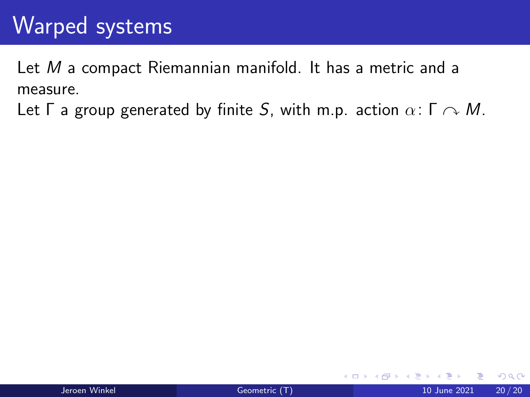Let M a compact Riemannian manifold. It has a metric and a measure.

Let  $\Gamma$  a group generated by finite S, with m.p. action  $\alpha: \Gamma \cap M$ .

4 0 8

 $\Omega$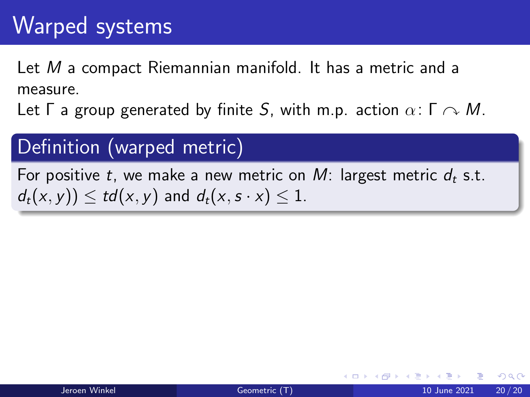Let M a compact Riemannian manifold. It has a metric and a measure.

Let  $\Gamma$  a group generated by finite S, with m.p. action  $\alpha: \Gamma \curvearrowright M$ .

### Definition (warped metric)

For positive t, we make a new metric on M: largest metric  $d_t$  s.t.  $d_t(x, y) \leq t d(x, y)$  and  $d_t(x, s \cdot x) \leq 1$ .

 $\Omega$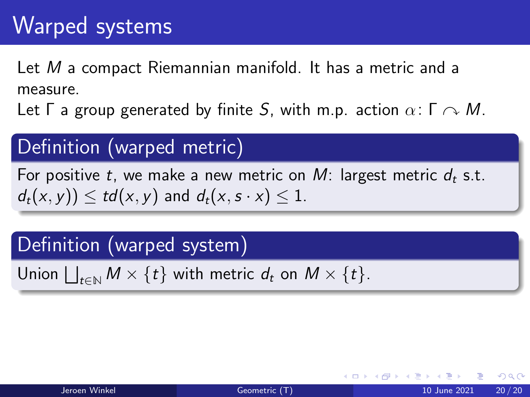Let M a compact Riemannian manifold. It has a metric and a measure.

Let  $\Gamma$  a group generated by finite S, with m.p. action  $\alpha: \Gamma \curvearrowright M$ .

### Definition (warped metric)

For positive t, we make a new metric on M: largest metric  $d_t$  s.t.  $d_t(x, y) < t d(x, y)$  and  $d_t(x, s \cdot x) < 1$ .

#### Definition (warped system)

Union  $\bigsqcup_{t\in\mathbb{N}}M\times\{t\}$  with metric  $d_t$  on  $M\times\{t\}.$ 

つへへ